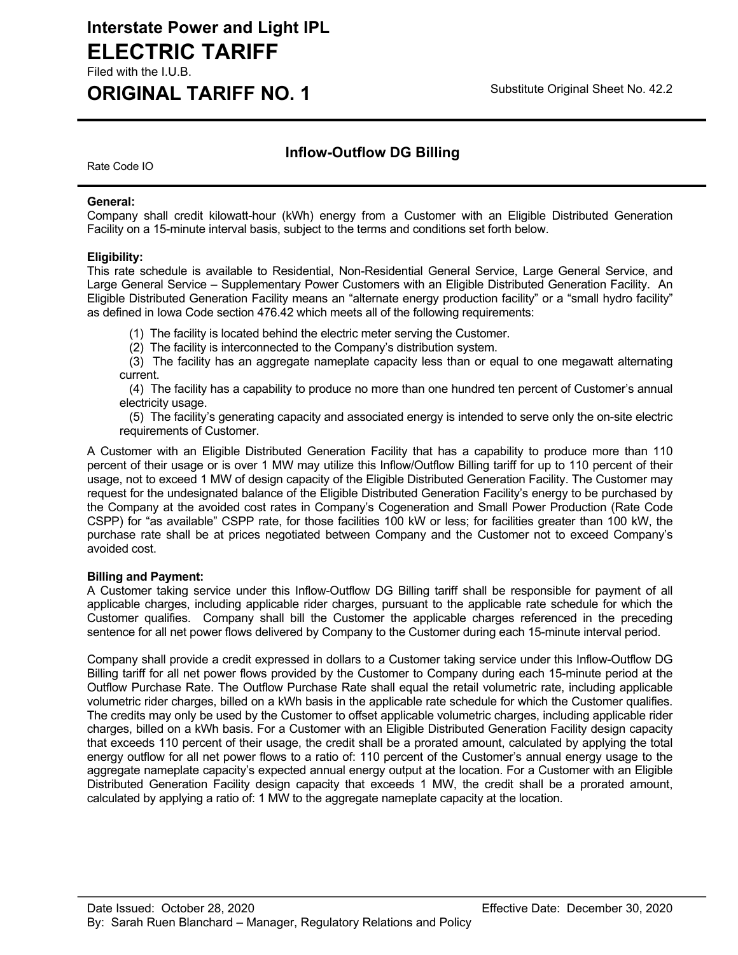# **Interstate Power and Light IPL ELECTRIC TARIFF**

Filed with the I.U.B.

# **ORIGINAL TARIFF NO. 1** Substitute Original Sheet No. 42.2

## **Inflow-Outflow DG Billing**

Rate Code IO

### **General:**

Company shall credit kilowatt-hour (kWh) energy from a Customer with an Eligible Distributed Generation Facility on a 15-minute interval basis, subject to the terms and conditions set forth below.

## **Eligibility:**

This rate schedule is available to Residential, Non-Residential General Service, Large General Service, and Large General Service – Supplementary Power Customers with an Eligible Distributed Generation Facility. An Eligible Distributed Generation Facility means an "alternate energy production facility" or a "small hydro facility" as defined in Iowa Code section 476.42 which meets all of the following requirements:

(1) The facility is located behind the electric meter serving the Customer.

(2) The facility is interconnected to the Company's distribution system.

 (3) The facility has an aggregate nameplate capacity less than or equal to one megawatt alternating current.

 (4) The facility has a capability to produce no more than one hundred ten percent of Customer's annual electricity usage.

 (5) The facility's generating capacity and associated energy is intended to serve only the on-site electric requirements of Customer.

A Customer with an Eligible Distributed Generation Facility that has a capability to produce more than 110 percent of their usage or is over 1 MW may utilize this Inflow/Outflow Billing tariff for up to 110 percent of their usage, not to exceed 1 MW of design capacity of the Eligible Distributed Generation Facility. The Customer may request for the undesignated balance of the Eligible Distributed Generation Facility's energy to be purchased by the Company at the avoided cost rates in Company's Cogeneration and Small Power Production (Rate Code CSPP) for "as available" CSPP rate, for those facilities 100 kW or less; for facilities greater than 100 kW, the purchase rate shall be at prices negotiated between Company and the Customer not to exceed Company's avoided cost.

### **Billing and Payment:**

A Customer taking service under this Inflow-Outflow DG Billing tariff shall be responsible for payment of all applicable charges, including applicable rider charges, pursuant to the applicable rate schedule for which the Customer qualifies. Company shall bill the Customer the applicable charges referenced in the preceding sentence for all net power flows delivered by Company to the Customer during each 15-minute interval period.

Company shall provide a credit expressed in dollars to a Customer taking service under this Inflow-Outflow DG Billing tariff for all net power flows provided by the Customer to Company during each 15-minute period at the Outflow Purchase Rate. The Outflow Purchase Rate shall equal the retail volumetric rate, including applicable volumetric rider charges, billed on a kWh basis in the applicable rate schedule for which the Customer qualifies. The credits may only be used by the Customer to offset applicable volumetric charges, including applicable rider charges, billed on a kWh basis. For a Customer with an Eligible Distributed Generation Facility design capacity that exceeds 110 percent of their usage, the credit shall be a prorated amount, calculated by applying the total energy outflow for all net power flows to a ratio of: 110 percent of the Customer's annual energy usage to the aggregate nameplate capacity's expected annual energy output at the location. For a Customer with an Eligible Distributed Generation Facility design capacity that exceeds 1 MW, the credit shall be a prorated amount, calculated by applying a ratio of: 1 MW to the aggregate nameplate capacity at the location.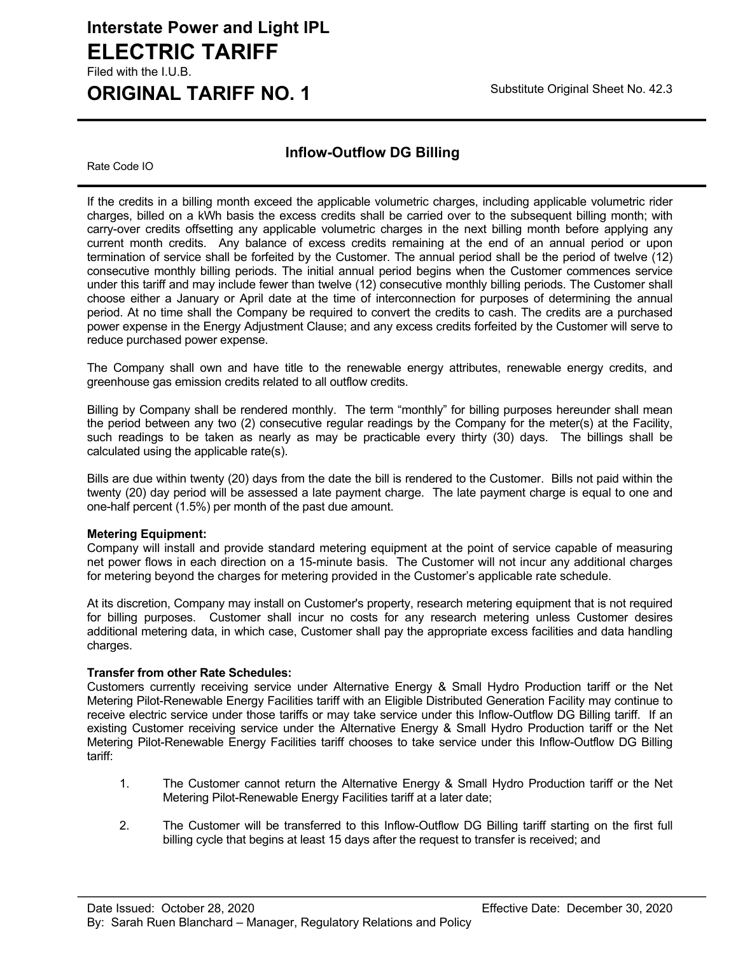## **Interstate Power and Light IPL ELECTRIC TARIFF** Filed with the I.U.B.

# **ORIGINAL TARIFF NO. 1** Substitute Original Sheet No. 42.3

## **Inflow-Outflow DG Billing**

Rate Code IO

If the credits in a billing month exceed the applicable volumetric charges, including applicable volumetric rider charges, billed on a kWh basis the excess credits shall be carried over to the subsequent billing month; with carry-over credits offsetting any applicable volumetric charges in the next billing month before applying any current month credits. Any balance of excess credits remaining at the end of an annual period or upon termination of service shall be forfeited by the Customer. The annual period shall be the period of twelve (12) consecutive monthly billing periods. The initial annual period begins when the Customer commences service under this tariff and may include fewer than twelve (12) consecutive monthly billing periods. The Customer shall choose either a January or April date at the time of interconnection for purposes of determining the annual period. At no time shall the Company be required to convert the credits to cash. The credits are a purchased power expense in the Energy Adjustment Clause; and any excess credits forfeited by the Customer will serve to reduce purchased power expense.

The Company shall own and have title to the renewable energy attributes, renewable energy credits, and greenhouse gas emission credits related to all outflow credits.

Billing by Company shall be rendered monthly. The term "monthly" for billing purposes hereunder shall mean the period between any two (2) consecutive regular readings by the Company for the meter(s) at the Facility, such readings to be taken as nearly as may be practicable every thirty (30) days. The billings shall be calculated using the applicable rate(s).

Bills are due within twenty (20) days from the date the bill is rendered to the Customer. Bills not paid within the twenty (20) day period will be assessed a late payment charge. The late payment charge is equal to one and one-half percent (1.5%) per month of the past due amount.

### **Metering Equipment:**

Company will install and provide standard metering equipment at the point of service capable of measuring net power flows in each direction on a 15-minute basis. The Customer will not incur any additional charges for metering beyond the charges for metering provided in the Customer's applicable rate schedule.

At its discretion, Company may install on Customer's property, research metering equipment that is not required for billing purposes. Customer shall incur no costs for any research metering unless Customer desires additional metering data, in which case, Customer shall pay the appropriate excess facilities and data handling charges.

### **Transfer from other Rate Schedules:**

Customers currently receiving service under Alternative Energy & Small Hydro Production tariff or the Net Metering Pilot-Renewable Energy Facilities tariff with an Eligible Distributed Generation Facility may continue to receive electric service under those tariffs or may take service under this Inflow-Outflow DG Billing tariff. If an existing Customer receiving service under the Alternative Energy & Small Hydro Production tariff or the Net Metering Pilot-Renewable Energy Facilities tariff chooses to take service under this Inflow-Outflow DG Billing tariff:

- 1. The Customer cannot return the Alternative Energy & Small Hydro Production tariff or the Net Metering Pilot-Renewable Energy Facilities tariff at a later date;
- 2. The Customer will be transferred to this Inflow-Outflow DG Billing tariff starting on the first full billing cycle that begins at least 15 days after the request to transfer is received; and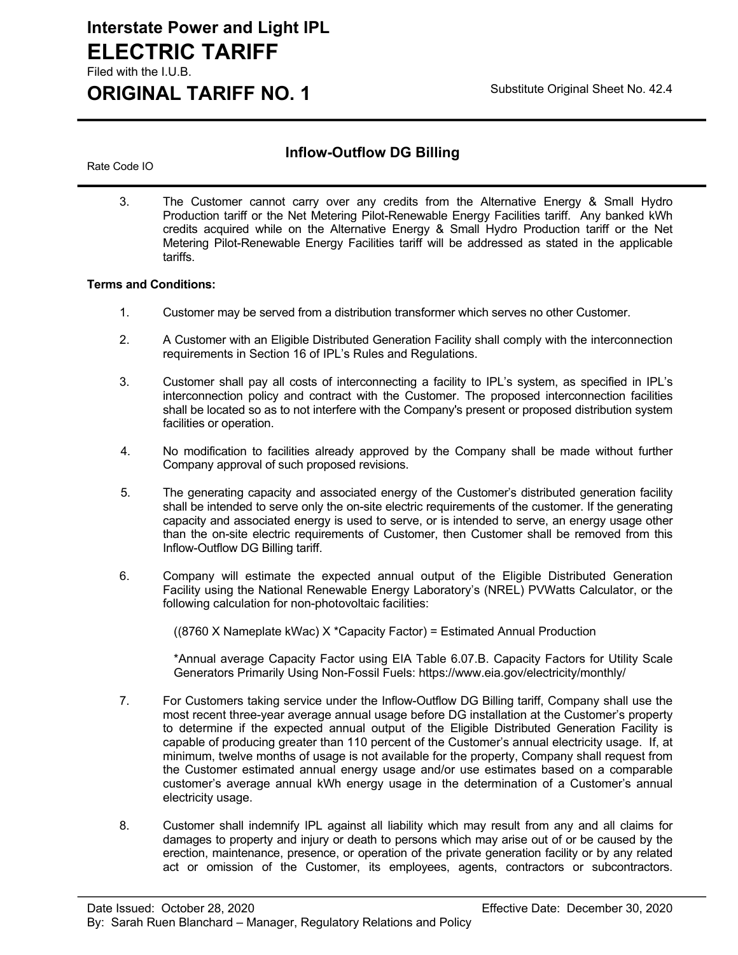## **Interstate Power and Light IPL ELECTRIC TARIFF** Filed with the I.U.B.

# **ORIGINAL TARIFF NO. 1** Substitute Original Sheet No. 42.4

## **Inflow-Outflow DG Billing**

Rate Code IO

3. The Customer cannot carry over any credits from the Alternative Energy & Small Hydro Production tariff or the Net Metering Pilot-Renewable Energy Facilities tariff. Any banked kWh credits acquired while on the Alternative Energy & Small Hydro Production tariff or the Net Metering Pilot-Renewable Energy Facilities tariff will be addressed as stated in the applicable tariffs.

#### **Terms and Conditions:**

- 1. Customer may be served from a distribution transformer which serves no other Customer.
- 2. A Customer with an Eligible Distributed Generation Facility shall comply with the interconnection requirements in Section 16 of IPL's Rules and Regulations.
- 3. Customer shall pay all costs of interconnecting a facility to IPL's system, as specified in IPL's interconnection policy and contract with the Customer. The proposed interconnection facilities shall be located so as to not interfere with the Company's present or proposed distribution system facilities or operation.
- 4. No modification to facilities already approved by the Company shall be made without further Company approval of such proposed revisions.
- 5. The generating capacity and associated energy of the Customer's distributed generation facility shall be intended to serve only the on-site electric requirements of the customer. If the generating capacity and associated energy is used to serve, or is intended to serve, an energy usage other than the on-site electric requirements of Customer, then Customer shall be removed from this Inflow-Outflow DG Billing tariff.
- 6. Company will estimate the expected annual output of the Eligible Distributed Generation Facility using the National Renewable Energy Laboratory's (NREL) PVWatts Calculator, or the following calculation for non-photovoltaic facilities:

((8760 X Nameplate kWac) X \*Capacity Factor) = Estimated Annual Production

\*Annual average Capacity Factor using EIA Table 6.07.B. Capacity Factors for Utility Scale Generators Primarily Using Non-Fossil Fuels: https://www.eia.gov/electricity/monthly/

- 7. For Customers taking service under the Inflow-Outflow DG Billing tariff, Company shall use the most recent three-year average annual usage before DG installation at the Customer's property to determine if the expected annual output of the Eligible Distributed Generation Facility is capable of producing greater than 110 percent of the Customer's annual electricity usage. If, at minimum, twelve months of usage is not available for the property, Company shall request from the Customer estimated annual energy usage and/or use estimates based on a comparable customer's average annual kWh energy usage in the determination of a Customer's annual electricity usage.
- 8. Customer shall indemnify IPL against all liability which may result from any and all claims for damages to property and injury or death to persons which may arise out of or be caused by the erection, maintenance, presence, or operation of the private generation facility or by any related act or omission of the Customer, its employees, agents, contractors or subcontractors.